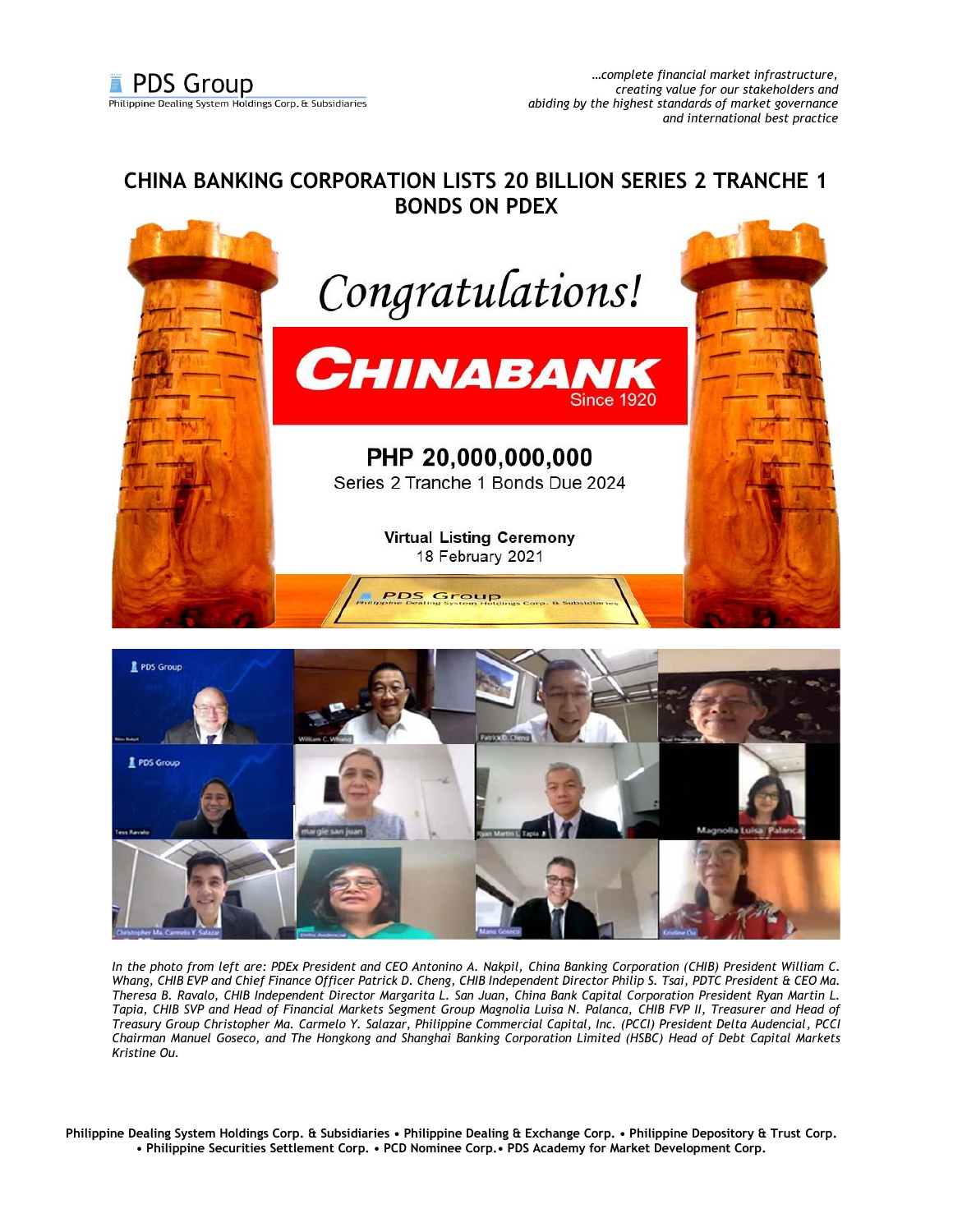## **CHINA BANKING CORPORATION LISTS 20 BILLION SERIES 2 TRANCHE 1 BONDS ON PDEX**





*In the photo from left are: PDEx President and CEO Antonino A. Nakpil, China Banking Corporation (CHIB) President William C. Whang, CHIB EVP and Chief Finance Officer Patrick D. Cheng, CHIB Independent Director Philip S. Tsai, PDTC President & CEO Ma. Theresa B. Ravalo, CHIB Independent Director Margarita L. San Juan, China Bank Capital Corporation President Ryan Martin L. Tapia, CHIB SVP and Head of Financial Markets Segment Group Magnolia Luisa N. Palanca, CHIB FVP II, Treasurer and Head of Treasury Group Christopher Ma. Carmelo Y. Salazar, Philippine Commercial Capital, Inc. (PCCI) President Delta Audencial, PCCI Chairman Manuel Goseco, and The Hongkong and Shanghai Banking Corporation Limited (HSBC) Head of Debt Capital Markets Kristine Ou.*

**Philippine Dealing System Holdings Corp. & Subsidiaries • Philippine Dealing & Exchange Corp. • Philippine Depository & Trust Corp. • Philippine Securities Settlement Corp. • PCD Nominee Corp.• PDS Academy for Market Development Corp.**